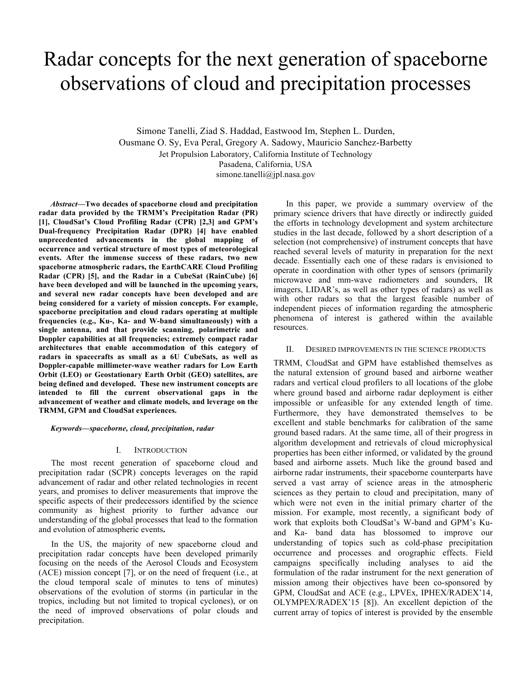# Radar concepts for the next generation of spaceborne observations of cloud and precipitation processes

Simone Tanelli, Ziad S. Haddad, Eastwood Im, Stephen L. Durden, Ousmane O. Sy, Eva Peral, Gregory A. Sadowy, Mauricio Sanchez-Barbetty Jet Propulsion Laboratory, California Institute of Technology Pasadena, California, USA simone.tanelli@jpl.nasa.gov

*Abstract***—Two decades of spaceborne cloud and precipitation radar data provided by the TRMM's Precipitation Radar (PR) [1], CloudSat's Cloud Profiling Radar (CPR) [2,3] and GPM's Dual-frequency Precipitation Radar (DPR) [4] have enabled unprecedented advancements in the global mapping of occurrence and vertical structure of most types of meteorological events. After the immense success of these radars, two new spaceborne atmospheric radars, the EarthCARE Cloud Profiling Radar (CPR) [5], and the Radar in a CubeSat (RainCube) [6] have been developed and will be launched in the upcoming years, and several new radar concepts have been developed and are being considered for a variety of mission concepts. For example, spaceborne precipitation and cloud radars operating at multiple frequencies (e.g., Ku-, Ka- and W-band simultaneously) with a single antenna, and that provide scanning, polarimetric and Doppler capabilities at all frequencies; extremely compact radar architectures that enable accommodation of this category of radars in spacecrafts as small as a 6U CubeSats, as well as Doppler-capable millimeter-wave weather radars for Low Earth Orbit (LEO) or Geostationary Earth Orbit (GEO) satellites, are being defined and developed. These new instrument concepts are intended to fill the current observational gaps in the advancement of weather and climate models, and leverage on the TRMM, GPM and CloudSat experiences.**

*Keywords—spaceborne, cloud, precipitation, radar*

#### I. INTRODUCTION

The most recent generation of spaceborne cloud and precipitation radar (SCPR) concepts leverages on the rapid advancement of radar and other related technologies in recent years, and promises to deliver measurements that improve the specific aspects of their predecessors identified by the science community as highest priority to further advance our understanding of the global processes that lead to the formation and evolution of atmospheric events**.** 

In the US, the majority of new spaceborne cloud and precipitation radar concepts have been developed primarily focusing on the needs of the Aerosol Clouds and Ecosystem (ACE) mission concept [7], or on the need of frequent (i.e., at the cloud temporal scale of minutes to tens of minutes) observations of the evolution of storms (in particular in the tropics, including but not limited to tropical cyclones), or on the need of improved observations of polar clouds and precipitation.

In this paper, we provide a summary overview of the primary science drivers that have directly or indirectly guided the efforts in technology development and system architecture studies in the last decade, followed by a short description of a selection (not comprehensive) of instrument concepts that have reached several levels of maturity in preparation for the next decade. Essentially each one of these radars is envisioned to operate in coordination with other types of sensors (primarily microwave and mm-wave radiometers and sounders, IR imagers, LIDAR's, as well as other types of radars) as well as with other radars so that the largest feasible number of independent pieces of information regarding the atmospheric phenomena of interest is gathered within the available resources.

#### II. DESIRED IMPROVEMENTS IN THE SCIENCE PRODUCTS

TRMM, CloudSat and GPM have established themselves as the natural extension of ground based and airborne weather radars and vertical cloud profilers to all locations of the globe where ground based and airborne radar deployment is either impossible or unfeasible for any extended length of time. Furthermore, they have demonstrated themselves to be excellent and stable benchmarks for calibration of the same ground based radars. At the same time, all of their progress in algorithm development and retrievals of cloud microphysical properties has been either informed, or validated by the ground based and airborne assets. Much like the ground based and airborne radar instruments, their spaceborne counterparts have served a vast array of science areas in the atmospheric sciences as they pertain to cloud and precipitation, many of which were not even in the initial primary charter of the mission. For example, most recently, a significant body of work that exploits both CloudSat's W-band and GPM's Kuand Ka- band data has blossomed to improve our understanding of topics such as cold-phase precipitation occurrence and processes and orographic effects. Field campaigns specifically including analyses to aid the formulation of the radar instrument for the next generation of mission among their objectives have been co-sponsored by GPM, CloudSat and ACE (e.g., LPVEx, IPHEX/RADEX'14, OLYMPEX/RADEX'15 [8]). An excellent depiction of the current array of topics of interest is provided by the ensemble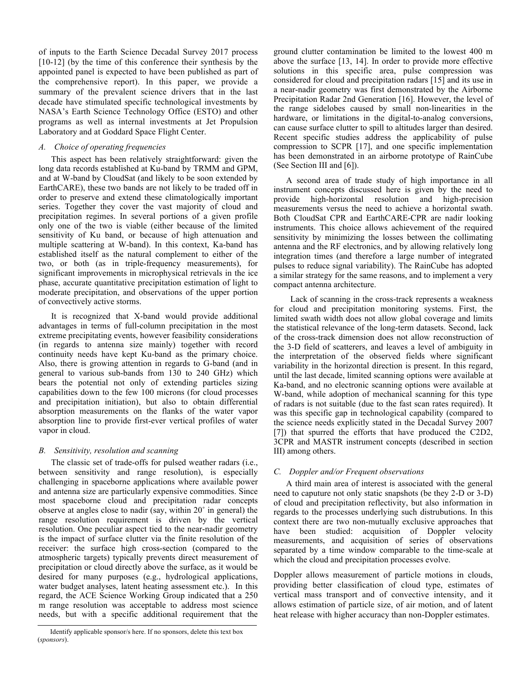of inputs to the Earth Science Decadal Survey 2017 process [10-12] (by the time of this conference their synthesis by the appointed panel is expected to have been published as part of the comprehensive report). In this paper, we provide a summary of the prevalent science drivers that in the last decade have stimulated specific technological investments by NASA's Earth Science Technology Office (ESTO) and other programs as well as internal investments at Jet Propulsion Laboratory and at Goddard Space Flight Center.

## *A. Choice of operating frequencies*

This aspect has been relatively straightforward: given the long data records established at Ku-band by TRMM and GPM, and at W-band by CloudSat (and likely to be soon extended by EarthCARE), these two bands are not likely to be traded off in order to preserve and extend these climatologically important series. Together they cover the vast majority of cloud and precipitation regimes. In several portions of a given profile only one of the two is viable (either because of the limited sensitivity of Ku band, or because of high attenuation and multiple scattering at W-band). In this context, Ka-band has established itself as the natural complement to either of the two, or both (as in triple-frequency measurements), for significant improvements in microphysical retrievals in the ice phase, accurate quantitative precipitation estimation of light to moderate precipitation, and observations of the upper portion of convectively active storms.

It is recognized that X-band would provide additional advantages in terms of full-column precipitation in the most extreme precipitating events, however feasibility considerations (in regards to antenna size mainly) together with record continuity needs have kept Ku-band as the primary choice. Also, there is growing attention in regards to G-band (and in general to various sub-bands from 130 to 240 GHz) which bears the potential not only of extending particles sizing capabilities down to the few 100 microns (for cloud processes and precipitation initiation), but also to obtain differential absorption measurements on the flanks of the water vapor absorption line to provide first-ever vertical profiles of water vapor in cloud.

## *B. Sensitivity, resolution and scanning*

The classic set of trade-offs for pulsed weather radars (i.e., between sensitivity and range resolution), is especially challenging in spaceborne applications where available power and antenna size are particularly expensive commodities. Since most spaceborne cloud and precipitation radar concepts observe at angles close to nadir (say, within 20˚ in general) the range resolution requirement is driven by the vertical resolution. One peculiar aspect tied to the near-nadir geometry is the impact of surface clutter via the finite resolution of the receiver: the surface high cross-section (compared to the atmospheric targets) typically prevents direct measurement of precipitation or cloud directly above the surface, as it would be desired for many purposes (e.g., hydrological applications, water budget analyses, latent heating assessment etc.). In this regard, the ACE Science Working Group indicated that a 250 m range resolution was acceptable to address most science needs, but with a specific additional requirement that the

ground clutter contamination be limited to the lowest 400 m above the surface [13, 14]. In order to provide more effective solutions in this specific area, pulse compression was considered for cloud and precipitation radars [15] and its use in a near-nadir geometry was first demonstrated by the Airborne Precipitation Radar 2nd Generation [16]. However, the level of the range sidelobes caused by small non-linearities in the hardware, or limitations in the digital-to-analog conversions, can cause surface clutter to spill to altitudes larger than desired. Recent specific studies address the applicability of pulse compression to SCPR [17], and one specific implementation has been demonstrated in an airborne prototype of RainCube (See Section III and [6]).

A second area of trade study of high importance in all instrument concepts discussed here is given by the need to provide high-horizontal resolution and high-precision measurements versus the need to achieve a horizontal swath. Both CloudSat CPR and EarthCARE-CPR are nadir looking instruments. This choice allows achievement of the required sensitivity by minimizing the losses between the collimating antenna and the RF electronics, and by allowing relatively long integration times (and therefore a large number of integrated pulses to reduce signal variability). The RainCube has adopted a similar strategy for the same reasons, and to implement a very compact antenna architecture.

 Lack of scanning in the cross-track represents a weakness for cloud and precipitation monitoring systems. First, the limited swath width does not allow global coverage and limits the statistical relevance of the long-term datasets. Second, lack of the cross-track dimension does not allow reconstruction of the 3-D field of scatterers, and leaves a level of ambiguity in the interpretation of the observed fields where significant variability in the horizontal direction is present. In this regard, until the last decade, limited scanning options were available at Ka-band, and no electronic scanning options were available at W-band, while adoption of mechanical scanning for this type of radars is not suitable (due to the fast scan rates required). It was this specific gap in technological capability (compared to the science needs explicitly stated in the Decadal Survey 2007 [7]) that spurred the efforts that have produced the C2D2, 3CPR and MASTR instrument concepts (described in section III) among others.

## *C. Doppler and/or Frequent observations*

A third main area of interest is associated with the general need to caputure not only static snapshots (be they 2-D or 3-D) of cloud and precipitation reflectivity, but also information in regards to the processes underlying such distrubutions. In this context there are two non-mutually exclusive approaches that have been studied: acquisition of Doppler velocity measurements, and acquisition of series of observations separated by a time window comparable to the time-scale at which the cloud and precipitation processes evolve.

Doppler allows measurement of particle motions in clouds, providing better classification of cloud type, estimates of vertical mass transport and of convective intensity, and it allows estimation of particle size, of air motion, and of latent heat release with higher accuracy than non-Doppler estimates.

Identify applicable sponsor/s here. If no sponsors, delete this text box (*sponsors*).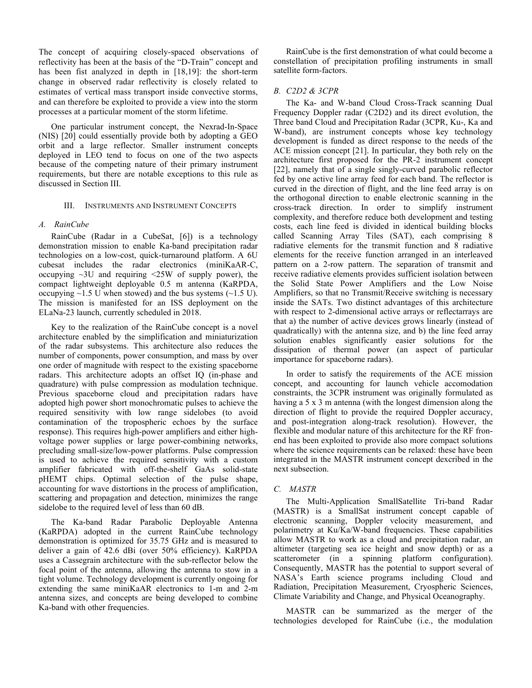The concept of acquiring closely-spaced observations of reflectivity has been at the basis of the "D-Train" concept and has been fist analyzed in depth in [18,19]: the short-term change in observed radar reflectivity is closely related to estimates of vertical mass transport inside convective storms, and can therefore be exploited to provide a view into the storm processes at a particular moment of the storm lifetime.

One particular instrument concept, the Nexrad-In-Space (NIS) [20] could essentially provide both by adopting a GEO orbit and a large reflector. Smaller instrument concepts deployed in LEO tend to focus on one of the two aspects because of the competing nature of their primary instrument requirements, but there are notable exceptions to this rule as discussed in Section III.

#### III. INSTRUMENTS AND INSTRUMENT CONCEPTS

## *A. RainCube*

RainCube (Radar in a CubeSat, [6]) is a technology demonstration mission to enable Ka-band precipitation radar technologies on a low-cost, quick-turnaround platform. A 6U cubesat includes the radar electronics (miniKaAR-C, occupying  $\sim$ 3U and requiring  $\leq$ 25W of supply power), the compact lightweight deployable 0.5 m antenna (KaRPDA, occupying  $\sim$ 1.5 U when stowed) and the bus systems ( $\sim$ 1.5 U). The mission is manifested for an ISS deployment on the ELaNa-23 launch, currently scheduled in 2018.

Key to the realization of the RainCube concept is a novel architecture enabled by the simplification and miniaturization of the radar subsystems. This architecture also reduces the number of components, power consumption, and mass by over one order of magnitude with respect to the existing spaceborne radars. This architecture adopts an offset IQ (in-phase and quadrature) with pulse compression as modulation technique. Previous spaceborne cloud and precipitation radars have adopted high power short monochromatic pulses to achieve the required sensitivity with low range sidelobes (to avoid contamination of the tropospheric echoes by the surface response). This requires high-power amplifiers and either highvoltage power supplies or large power-combining networks, precluding small-size/low-power platforms. Pulse compression is used to achieve the required sensitivity with a custom amplifier fabricated with off-the-shelf GaAs solid-state pHEMT chips. Optimal selection of the pulse shape, accounting for wave distortions in the process of amplification, scattering and propagation and detection, minimizes the range sidelobe to the required level of less than 60 dB.

The Ka-band Radar Parabolic Deployable Antenna (KaRPDA) adopted in the current RainCube technology demonstration is optimized for 35.75 GHz and is measured to deliver a gain of 42.6 dBi (over 50% efficiency). KaRPDA uses a Cassegrain architecture with the sub-reflector below the focal point of the antenna, allowing the antenna to stow in a tight volume. Technology development is currently ongoing for extending the same miniKaAR electronics to 1-m and 2-m antenna sizes, and concepts are being developed to combine Ka-band with other frequencies.

RainCube is the first demonstration of what could become a constellation of precipitation profiling instruments in small satellite form-factors.

#### *B. C2D2 & 3CPR*

The Ka- and W-band Cloud Cross-Track scanning Dual Frequency Doppler radar (C2D2) and its direct evolution, the Three band Cloud and Precipitation Radar (3CPR, Ku-, Ka and W-band), are instrument concepts whose key technology development is funded as direct response to the needs of the ACE mission concept [21]. In particular, they both rely on the architecture first proposed for the PR-2 instrument concept [22], namely that of a single singly-curved parabolic reflector fed by one active line array feed for each band. The reflector is curved in the direction of flight, and the line feed array is on the orthogonal direction to enable electronic scanning in the cross-track direction. In order to simplify instrument complexity, and therefore reduce both development and testing costs, each line feed is divided in identical building blocks called Scanning Array Tiles (SAT), each comprising 8 radiative elements for the transmit function and 8 radiative elements for the receive function arranged in an interleaved pattern on a 2-row pattern. The separation of transmit and receive radiative elements provides sufficient isolation between the Solid State Power Amplifiers and the Low Noise Amplifiers, so that no Transmit/Receive switching is necessary inside the SATs. Two distinct advantages of this architecture with respect to 2-dimensional active arrays or reflectarrays are that a) the number of active devices grows linearly (instead of quadratically) with the antenna size, and b) the line feed array solution enables significantly easier solutions for the dissipation of thermal power (an aspect of particular importance for spaceborne radars).

In order to satisfy the requirements of the ACE mission concept, and accounting for launch vehicle accomodation constraints, the 3CPR instrument was originally formulated as having a 5 x 3 m antenna (with the longest dimension along the direction of flight to provide the required Doppler accuracy, and post-integration along-track resolution). However, the flexible and modular nature of this architecture for the RF fronend has been exploited to provide also more compact solutions where the science requirements can be relaxed: these have been integrated in the MASTR instrument concept dexcribed in the next subsection.

## *C. MASTR*

The Multi-Application SmallSatellite Tri-band Radar (MASTR) is a SmallSat instrument concept capable of electronic scanning, Doppler velocity measurement, and polarimetry at Ku/Ka/W-band frequencies. These capabilities allow MASTR to work as a cloud and precipitation radar, an altimeter (targeting sea ice height and snow depth) or as a scatterometer (in a spinning platform configuration). Consequently, MASTR has the potential to support several of NASA's Earth science programs including Cloud and Radiation, Precipitation Measurement, Cryospheric Sciences, Climate Variability and Change, and Physical Oceanography.

MASTR can be summarized as the merger of the technologies developed for RainCube (i.e., the modulation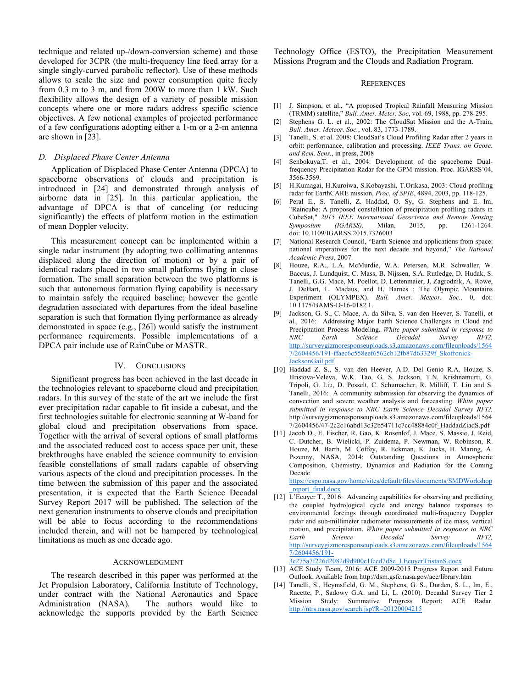technique and related up-/down-conversion scheme) and those developed for 3CPR (the multi-frequency line feed array for a single singly-curved parabolic reflector). Use of these methods allows to scale the size and power consumption quite freely from 0.3 m to 3 m, and from 200W to more than 1 kW. Such flexibility allows the design of a variety of possible mission concepts where one or more radars address specific science objectives. A few notional examples of projected performance of a few configurations adopting either a 1-m or a 2-m antenna are shown in [23].

## *D. Displaced Phase Center Antenna*

Application of Displaced Phase Center Antenna (DPCA) to spaceborne observations of clouds and precipitation is introduced in [24] and demonstrated through analysis of airborne data in [25]. In this particular application, the advantage of DPCA is that of canceling (or reducing significantly) the effects of platform motion in the estimation of mean Doppler velocity.

This measurement concept can be implemented within a single radar instrument (by adopting two collimating antennas displaced along the direction of motion) or by a pair of identical radars placed in two small platforms flying in close formation. The small separation between the two platforms is such that autonomous formation flying capability is necessary to maintain safely the required baseline; however the gentle degradation associated with departures from the ideal baseline separation is such that formation flying performance as already demonstrated in space (e.g., [26]) would satisfy the instrument performance requirements. Possible implementations of a DPCA pair include use of RainCube or MASTR.

## IV. CONCLUSIONS

Significant progress has been achieved in the last decade in the technologies relevant to spaceborne cloud and precipitation radars. In this survey of the state of the art we include the first ever precipitation radar capable to fit inside a cubesat, and the first technologies suitable for electronic scanning at W-band for global cloud and precipitation observations from space. Together with the arrival of several options of small platforms and the associated reduced cost to access space per unit, these brekthroughs have enabled the science community to envision feasible constellations of small radars capable of observing various aspects of the cloud and precipitation processes. In the time between the submission of this paper and the associated presentation, it is expected that the Earth Science Decadal Survey Report 2017 will be published. The selection of the next generation instruments to observe clouds and precipitation will be able to focus according to the recommendations included therein, and will not be hampered by technological limitations as much as one decade ago.

#### ACKNOWLEDGMENT

The research described in this paper was performed at the Jet Propulsion Laboratory, California Institute of Technology, under contract with the National Aeronautics and Space Administration (NASA). The authors would like to acknowledge the supports provided by the Earth Science Technology Office (ESTO), the Precipitation Measurement Missions Program and the Clouds and Radiation Program.

#### **REFERENCES**

- [1] J. Simpson, et al., "A proposed Tropical Rainfall Measuring Mission (TRMM) satellite," *Bull. Amer. Meter. Soc*, vol. 69, 1988, pp. 278-295.
- [2] Stephens G. L. et al., 2002: The CloudSat Mission and the A-Train, *Bull. Amer. Meteor. Soc.*, vol. 83, 1773-1789.
- [3] Tanelli, S. et al. 2008: CloudSat's Cloud Profiling Radar after 2 years in orbit: performance, calibration and processing. *IEEE Trans. on Geosc. and Rem. Sens.*, in press, 2008
- [4] Senbokuya,T. et al., 2004: Development of the spaceborne Dualfrequency Precipitation Radar for the GPM mission. Proc. IGARSS'04, 3566-3569.
- [5] H.Kumagai, H.Kuroiwa, S.Kobayashi, T.Orikasa, 2003: Cloud profiling radar for EarthCARE mission, *Proc. of SPIE*, 4894, 2003, pp. 118-125.
- [6] Peral E., S. Tanelli, Z. Haddad, O. Sy, G. Stephens and E. Im, "Raincube: A proposed constellation of precipitation profiling radars in CubeSat," *2015 IEEE International Geoscience and Remote Sensing Symposium (IGARSS)*, Milan, 2015, pp. 1261-1264. doi: 10.1109/IGARSS.2015.7326003
- [7] National Research Council, "Earth Science and applications from space: national imperatives for the next decade and beyond," *The National Academic Press*, 2007.
- [8] Houze, R.A., L.A. McMurdie, W.A. Petersen, M.R. Schwaller, W. Baccus, J. Lundquist, C. Mass, B. Nijssen, S.A. Rutledge, D. Hudak, S. Tanelli, G.G. Mace, M. Poellot, D. Lettenmaier, J. Zagrodnik, A. Rowe, J. DeHart, L. Madaus, and H. Barnes : The Olympic Mountains Experiment (OLYMPEX). *Bull. Amer. Meteor. Soc.,* 0, doi: 10.1175/BAMS-D-16-0182.1.
- Jackson, G. S., C. Mace, A. da Silva, S. van den Heever, S. Tanelli, et al., 2016: Addressing Major Earth Science Challenges in Cloud and Precipitation Process Modeling. *White paper submitted in response to NRC Earth Science Decadal Survey RFI2,*  http://surveygizmoresponseuploads.s3.amazonaws.com/fileuploads/1564 7/2604456/191-ffaec6c558eef6562cb12fb87d63329f\_Skofronick-JacksonGail.pdf
- [10] Haddad Z. S., S. van den Heever, A.D. Del Genio R.A. Houze, S. Hristova-Veleva, W.K. Tao, G. S. Jackson, T.N. Krishnamurti, G. Tripoli, G. Liu, D. Posselt, C. Schumacher, R. Milliff, T. Liu and S. Tanelli, 2016: A community submission for observing the dynamics of convection and severe weather analysis and forecasting. *White paper submitted in response to NRC Earth Science Decadal Survey RFI2,*  http://surveygizmoresponseuploads.s3.amazonaws.com/fileuploads/1564 7/2604456/47-2c2c16abd13c32b54711c7cc48884c0f\_HaddadZiadS.pdf
- [11] Jacob D., E. Fischer, R. Gao, K. Rosenlof, J. Mace, S. Massie, J. Reid, C. Dutcher, B. Wielicki, P. Zuidema, P. Newman, W. Robinson, R. Houze, M. Barth, M. Coffey, R. Eckman, K. Jucks, H. Maring, A. Pszenny, NASA, 2014: Outstanding Questions in Atmospheric Composition, Chemistry, Dynamics and Radiation for the Coming Decade

https://espo.nasa.gov/home/sites/default/files/documents/SMDWorkshop report\_final.docx

[12] L'Ecuyer T., 2016: Advancing capabilities for observing and predicting the coupled hydrological cycle and energy balance responses to environmental forcings through coordinated multi-frequency Doppler radar and sub-millimeter radiometer measurements of ice mass, vertical motion, and precipitation. *White paper submitted in response to NRC Earth Science Decadal Survey RFI2,*  http://surveygizmoresponseuploads.s3.amazonaws.com/fileuploads/1564 7/2604456/191-

3e275a7f226d2082d9d900c1fccd7d8e\_LEcuyerTristanS.docx

- [13] ACE Study Team, 2016: ACE 2009-2015 Progress Report and Future Outlook. Available from http://dsm.gsfc.nasa.gov/ace/library.htm
- [14] Tanelli, S., Heymsfield, G. M., Stephens, G. S., Durden, S. L., Im, E., Racette, P., Sadowy G.A. and Li, L. (2010). Decadal Survey Tier 2 Mission Study: Summative Progress Report: ACE Radar. http://ntrs.nasa.gov/search.jsp?R=20120004215